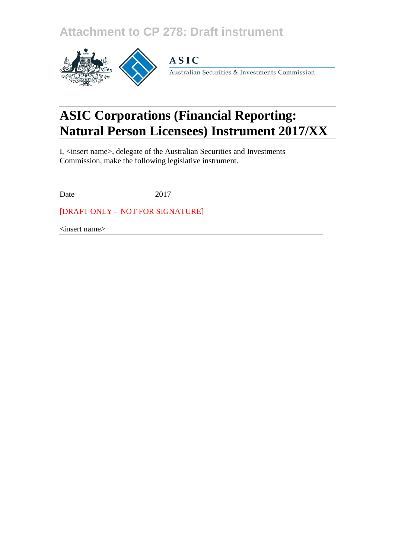**Attachment to CP 278: Draft instrument**



# **ASIC**

Australian Securities & Investments Commission

# **ASIC Corporations (Financial Reporting: Natural Person Licensees) Instrument 2017/XX**

I, <insert name>, delegate of the Australian Securities and Investments Commission, make the following legislative instrument.

Date 2017

[DRAFT ONLY – NOT FOR SIGNATURE]

<insert name>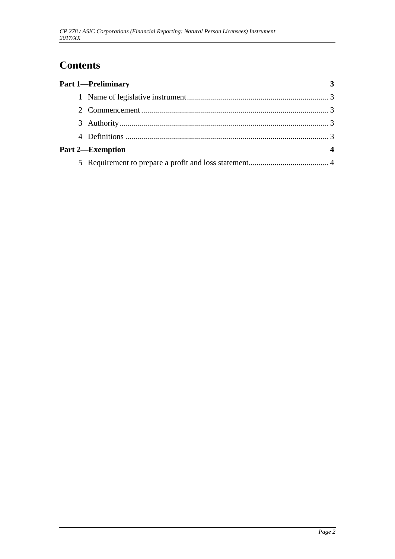# **Contents**

| <b>Part 1-Preliminary</b> |  |
|---------------------------|--|
|                           |  |
|                           |  |
|                           |  |
|                           |  |
| <b>Part 2—Exemption</b>   |  |
|                           |  |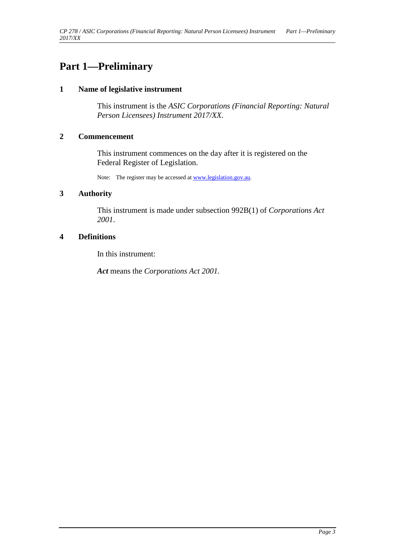### <span id="page-2-1"></span><span id="page-2-0"></span>**Part 1—Preliminary**

#### **1 Name of legislative instrument**

This instrument is the *ASIC Corporations (Financial Reporting: Natural Person Licensees) Instrument 2017/XX*.

#### <span id="page-2-2"></span>**2 Commencement**

This instrument commences on the day after it is registered on the Federal Register of Legislation.

Note: The register may be accessed a[t www.legislation.gov.au.](http://www.legislation.gov.au/)

#### <span id="page-2-3"></span>**3 Authority**

This instrument is made under subsection 992B(1) of *Corporations Act 2001*.

#### <span id="page-2-4"></span>**4 Definitions**

In this instrument:

*Act* means the *Corporations Act 2001.*